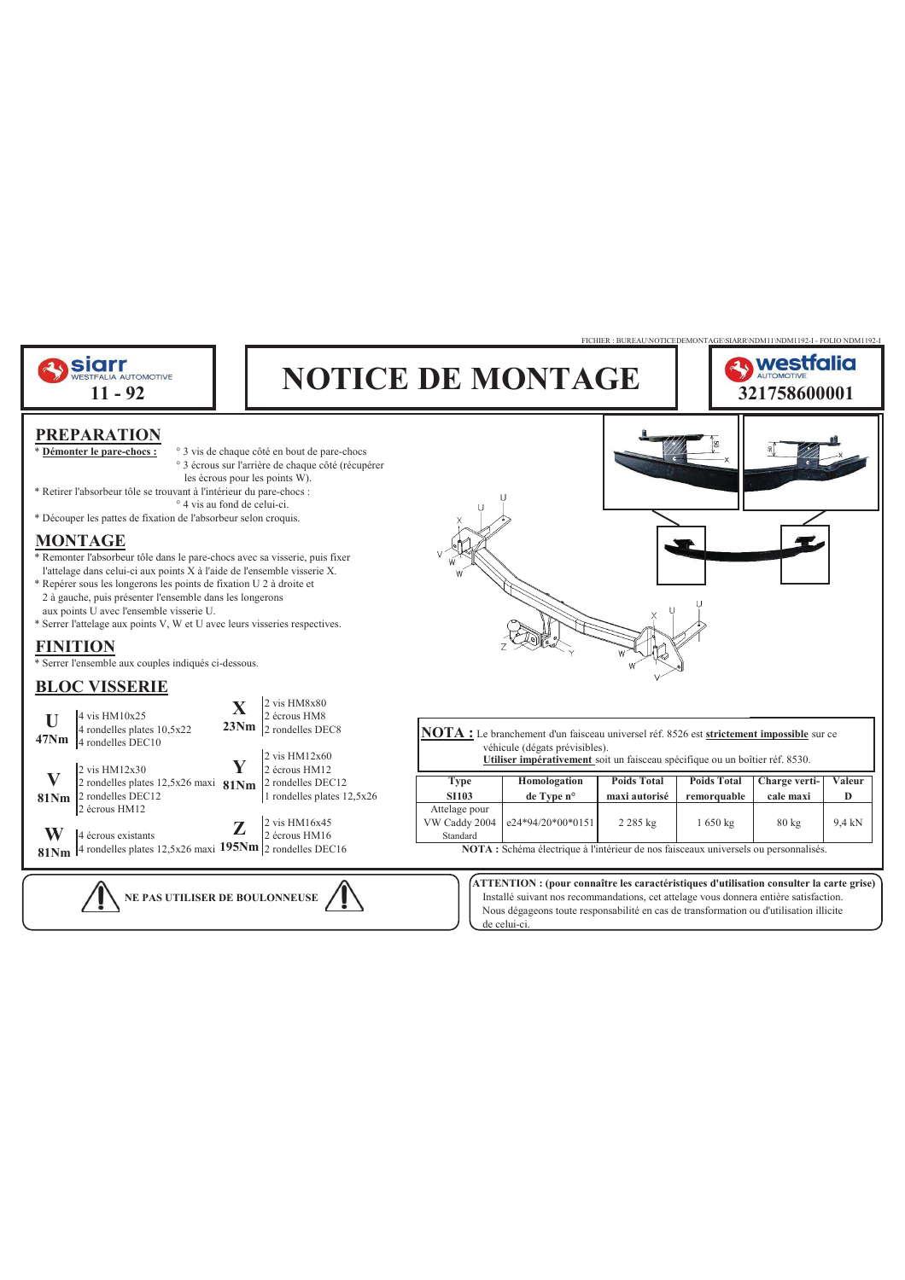

de celui-ci.

Nous dégageons toute responsabilité en cas de transformation ou d'utilisation illicite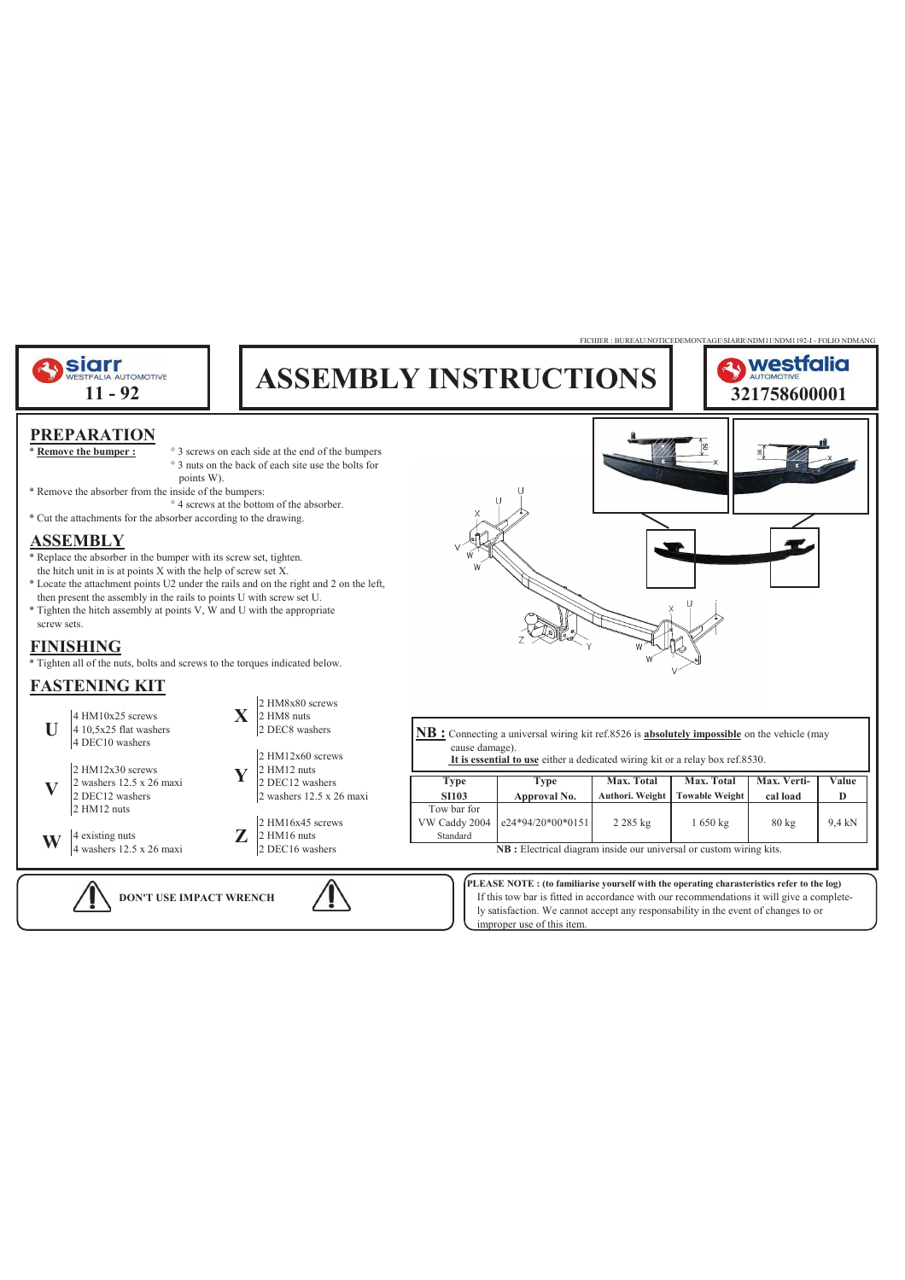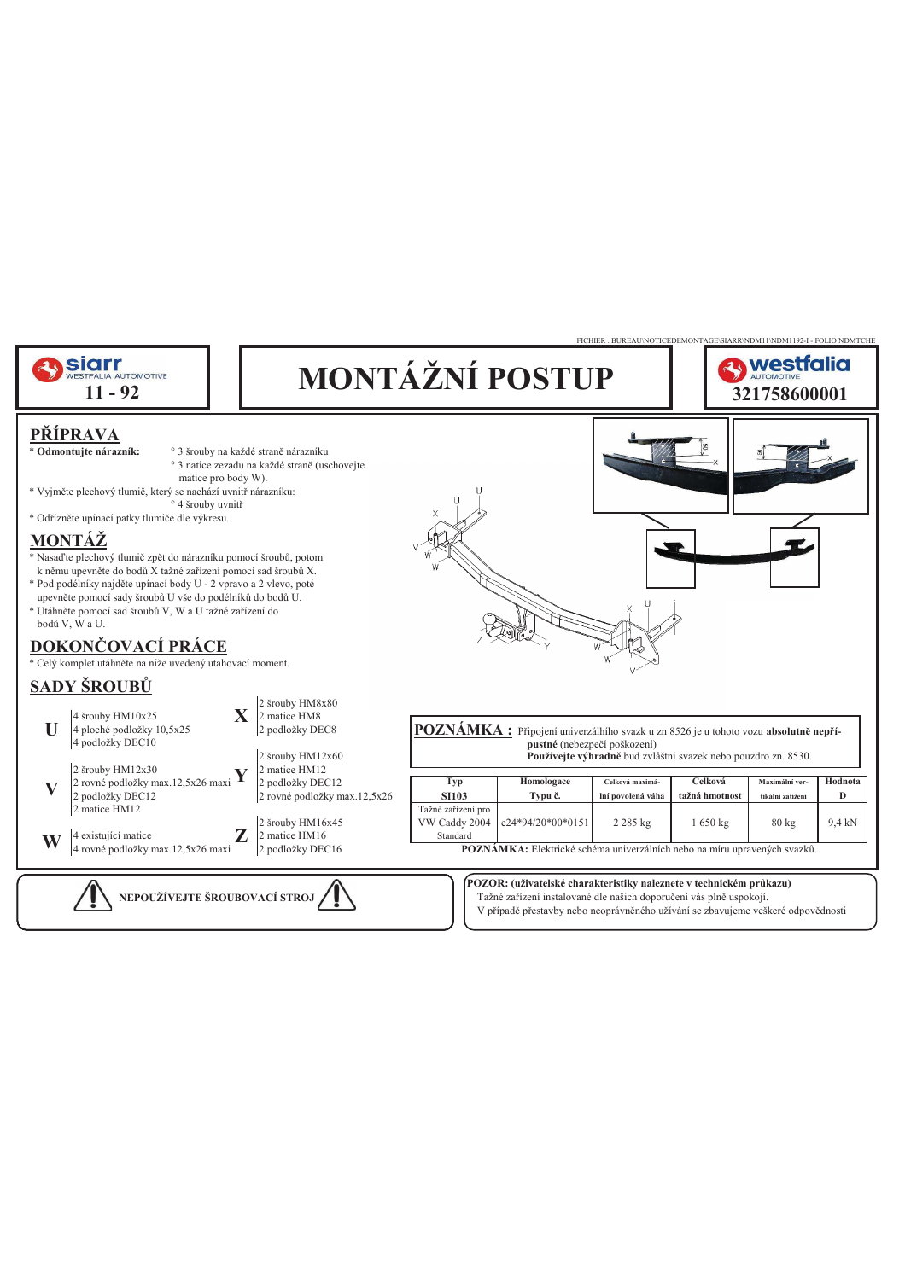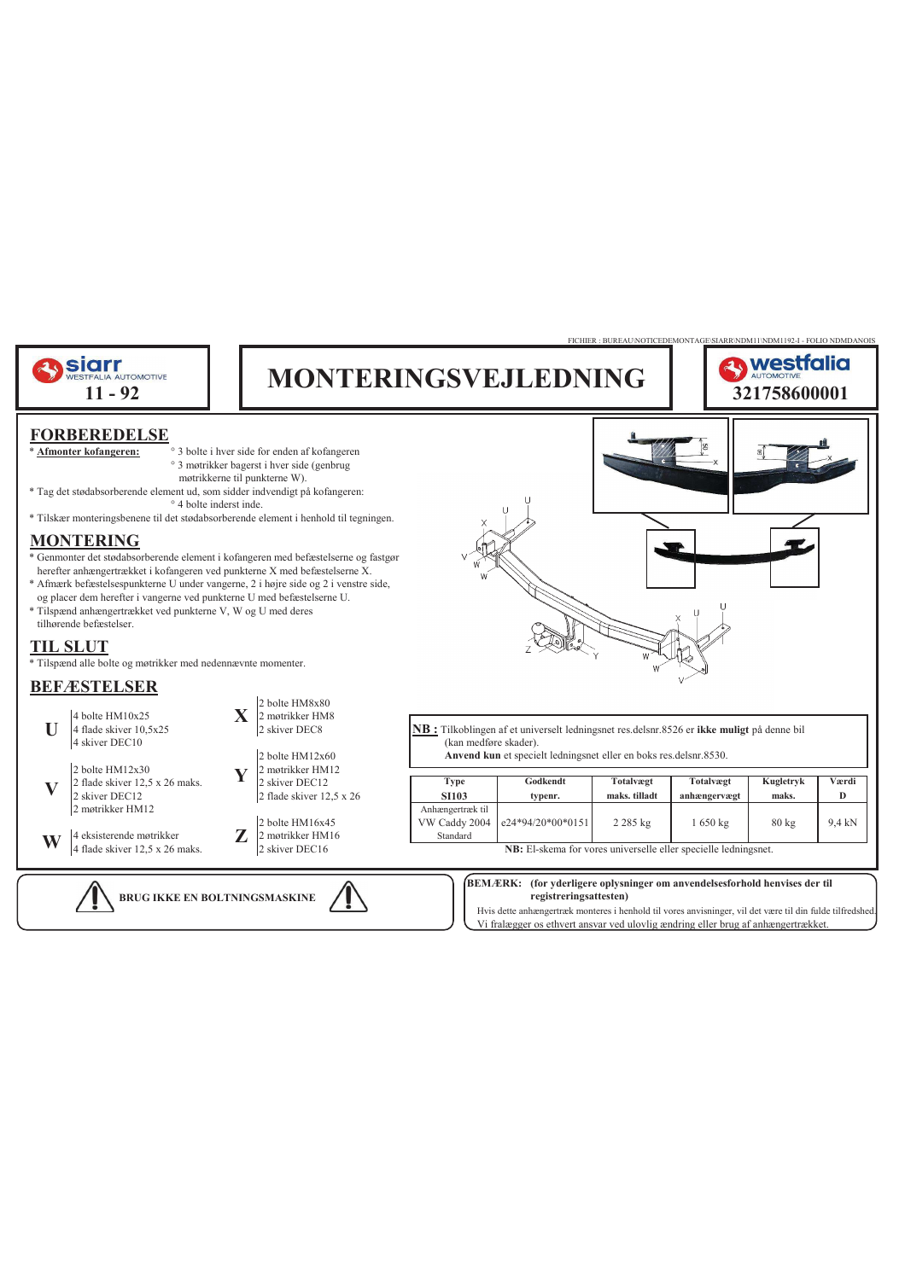

Hvis dette anhængertræk monteres i henhold til vores anvisninger, vil det være til din fulde tilfredshed. Vi fralægger os ethvert ansvar ved ulovlig ændring eller brug af anhængertrækket.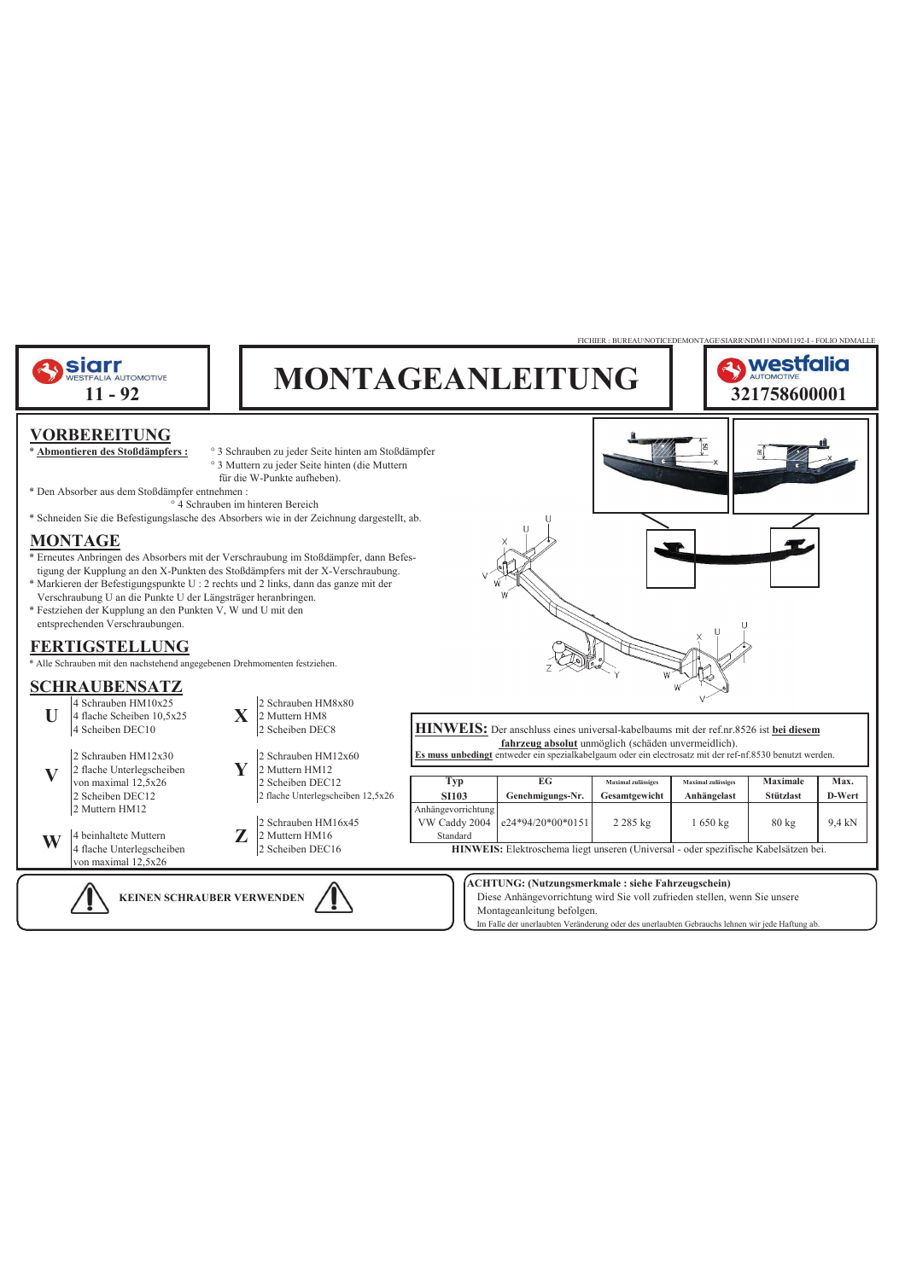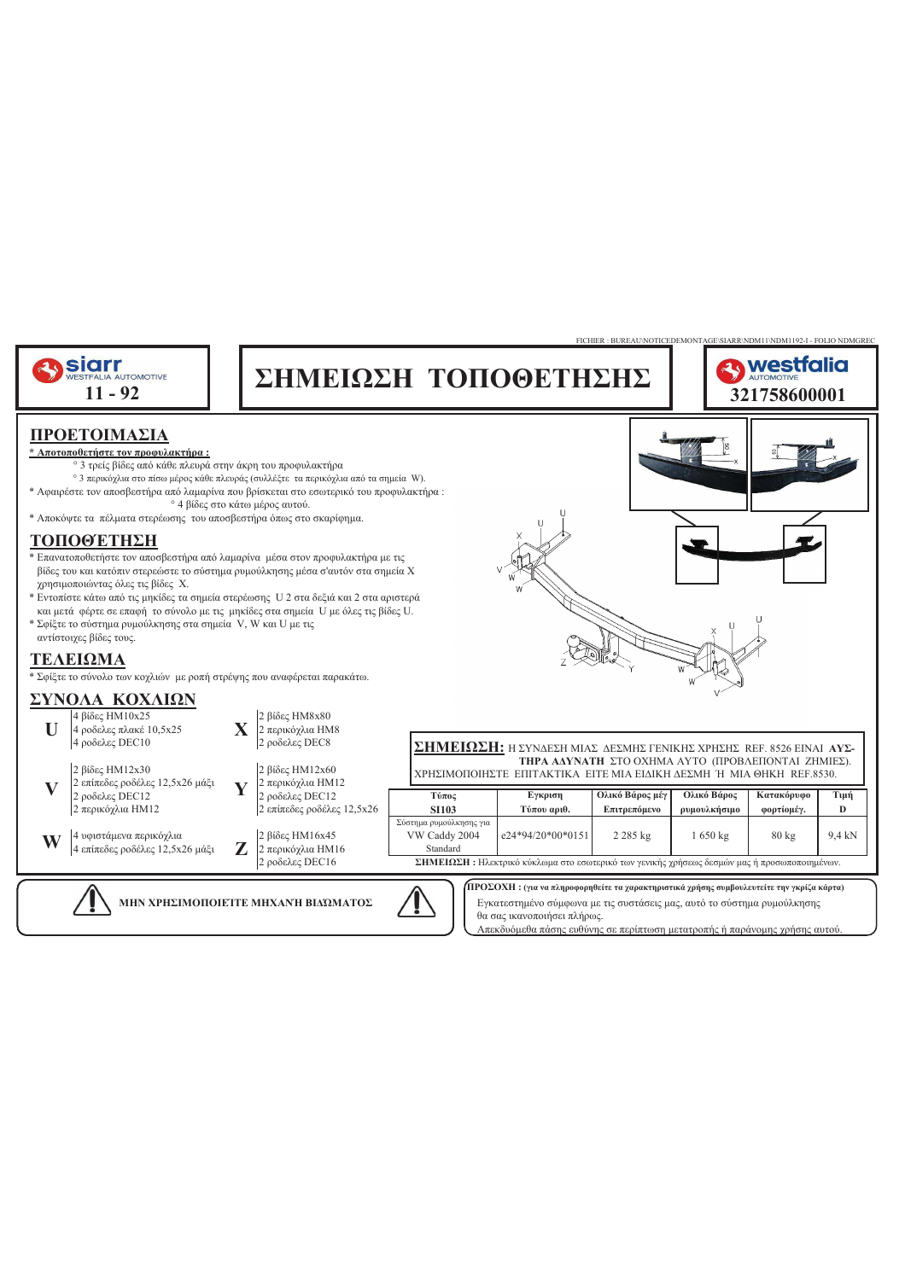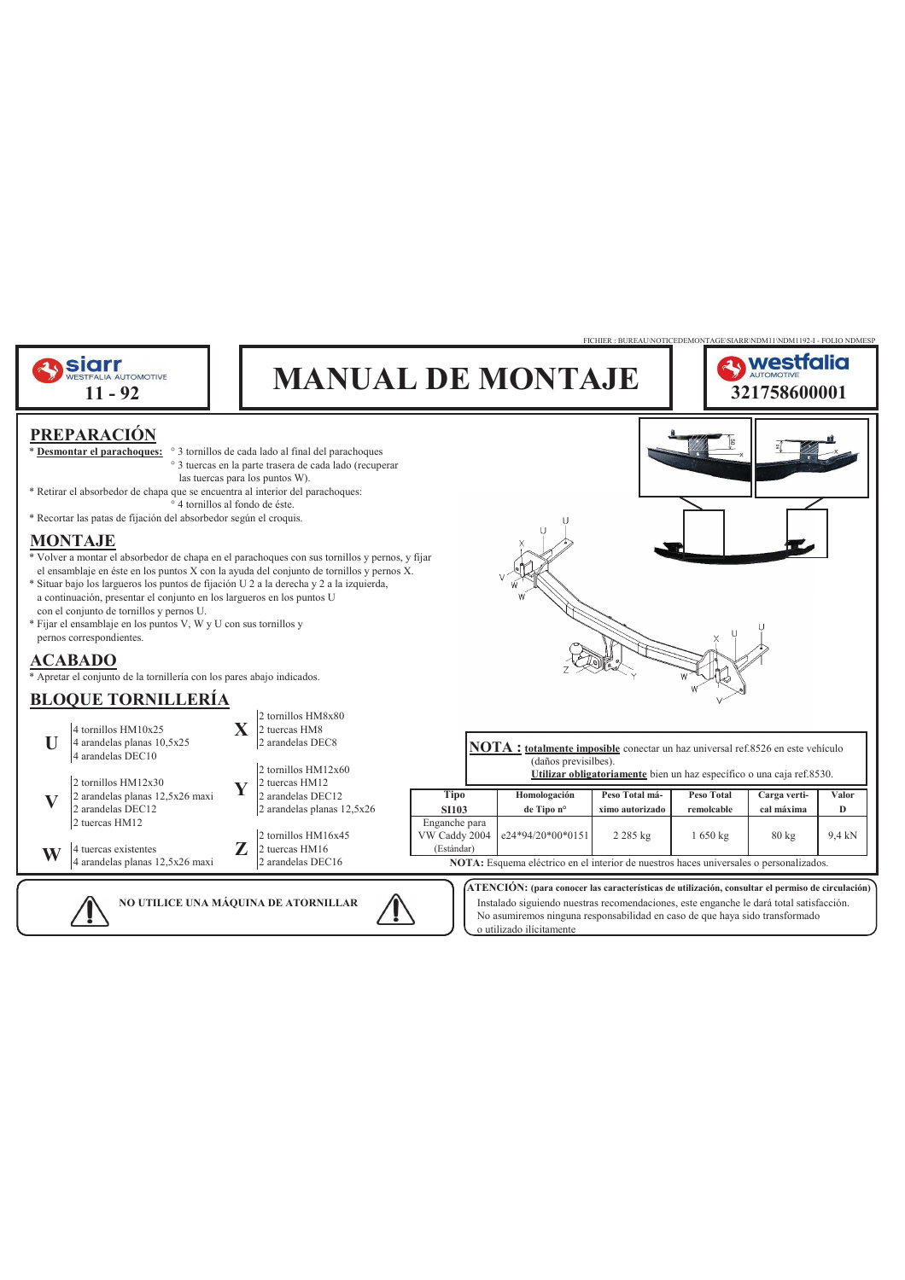

No asumiremos ninguna responsabilidad en caso de que haya sido transformado o utilizado ilícitamente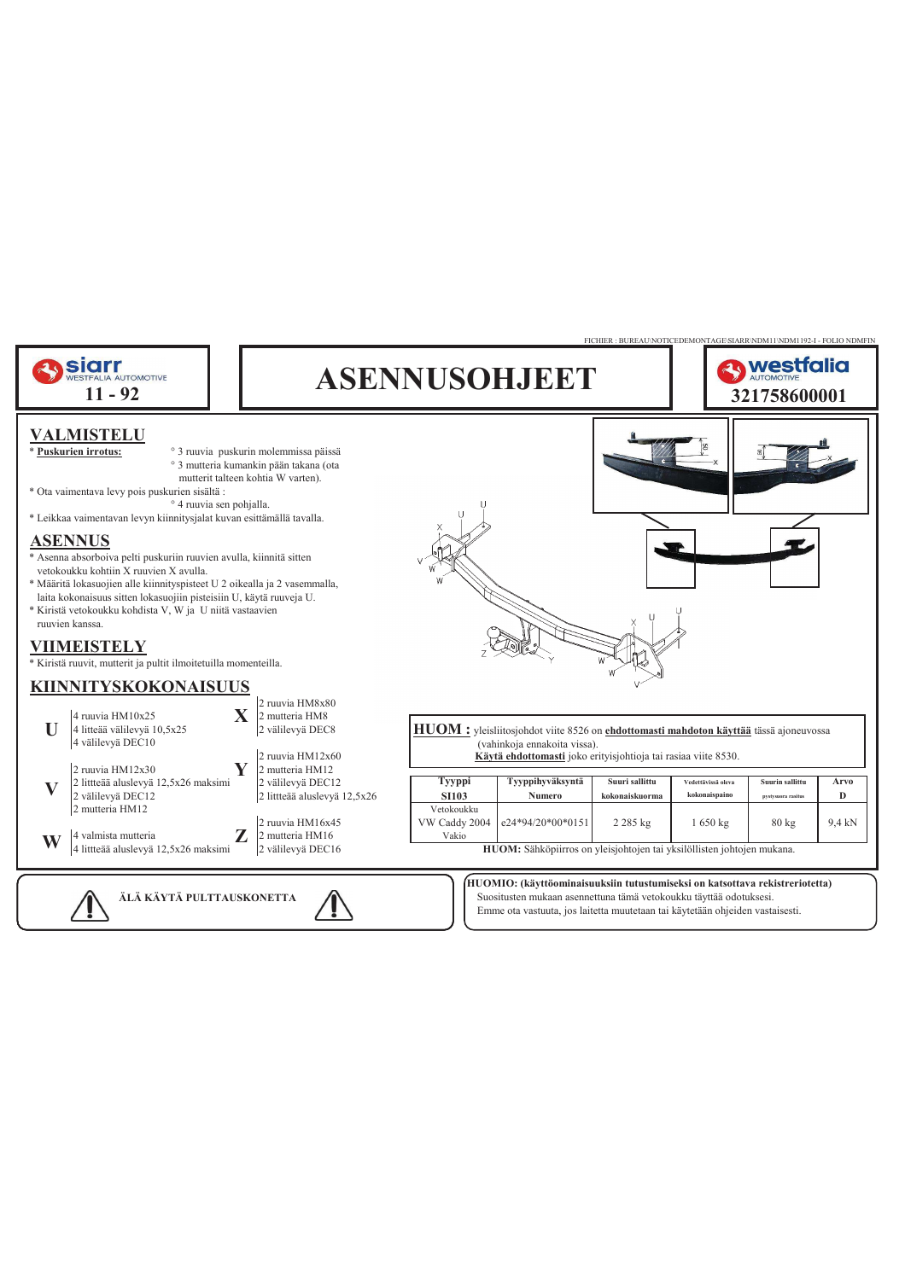

**ÄLÄ KÄYTÄ PULTTAUSKONETTA** Suositusten mukaan asennettuna tämä vetokoukku täyttää odotuksesi. Emme ota vastuuta, jos laitetta muutetaan tai käytetään ohjeiden vastaisesti.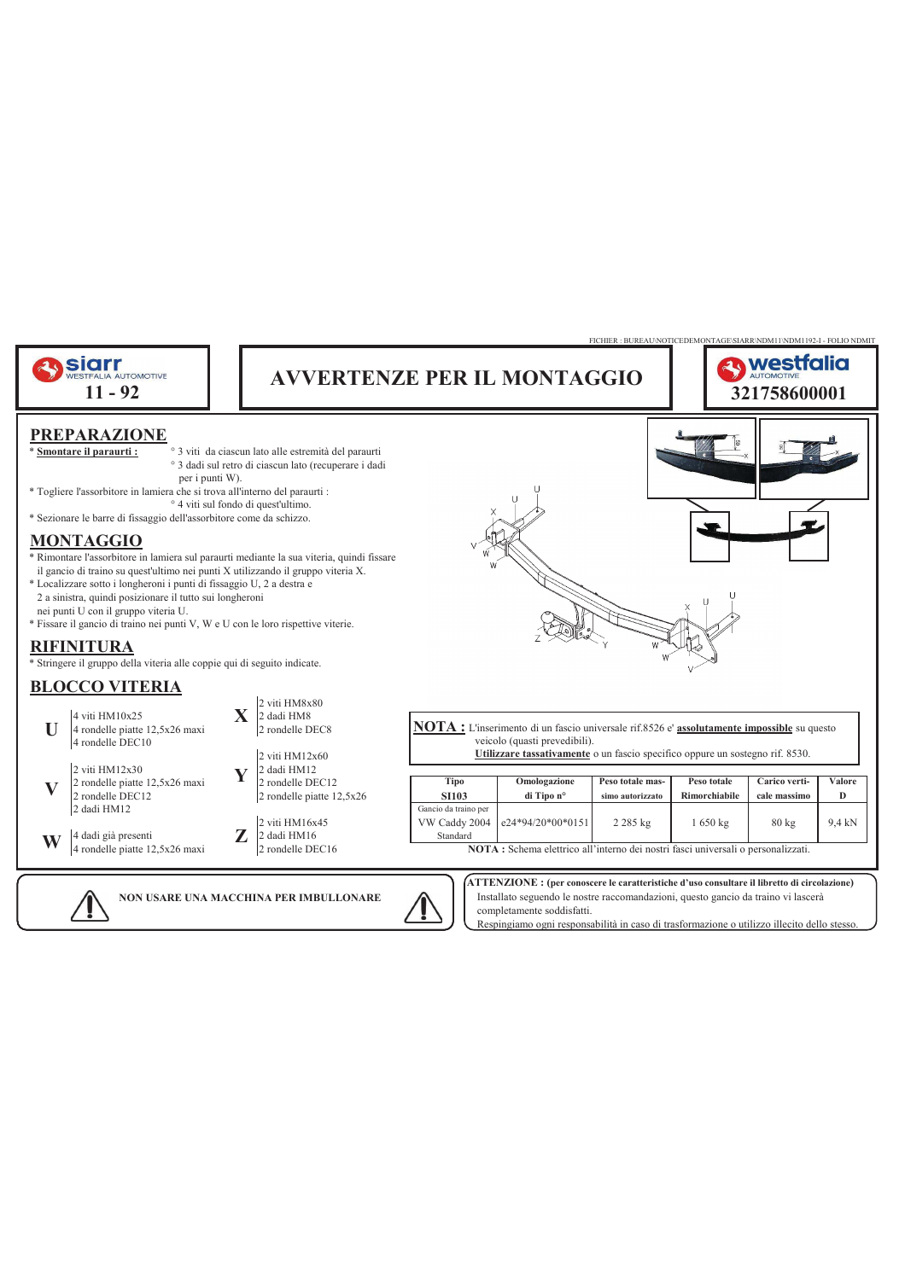

completamente soddisfatti.

Respingiamo ogni responsabilità in caso di trasformazione o utilizzo illecito dello stesso.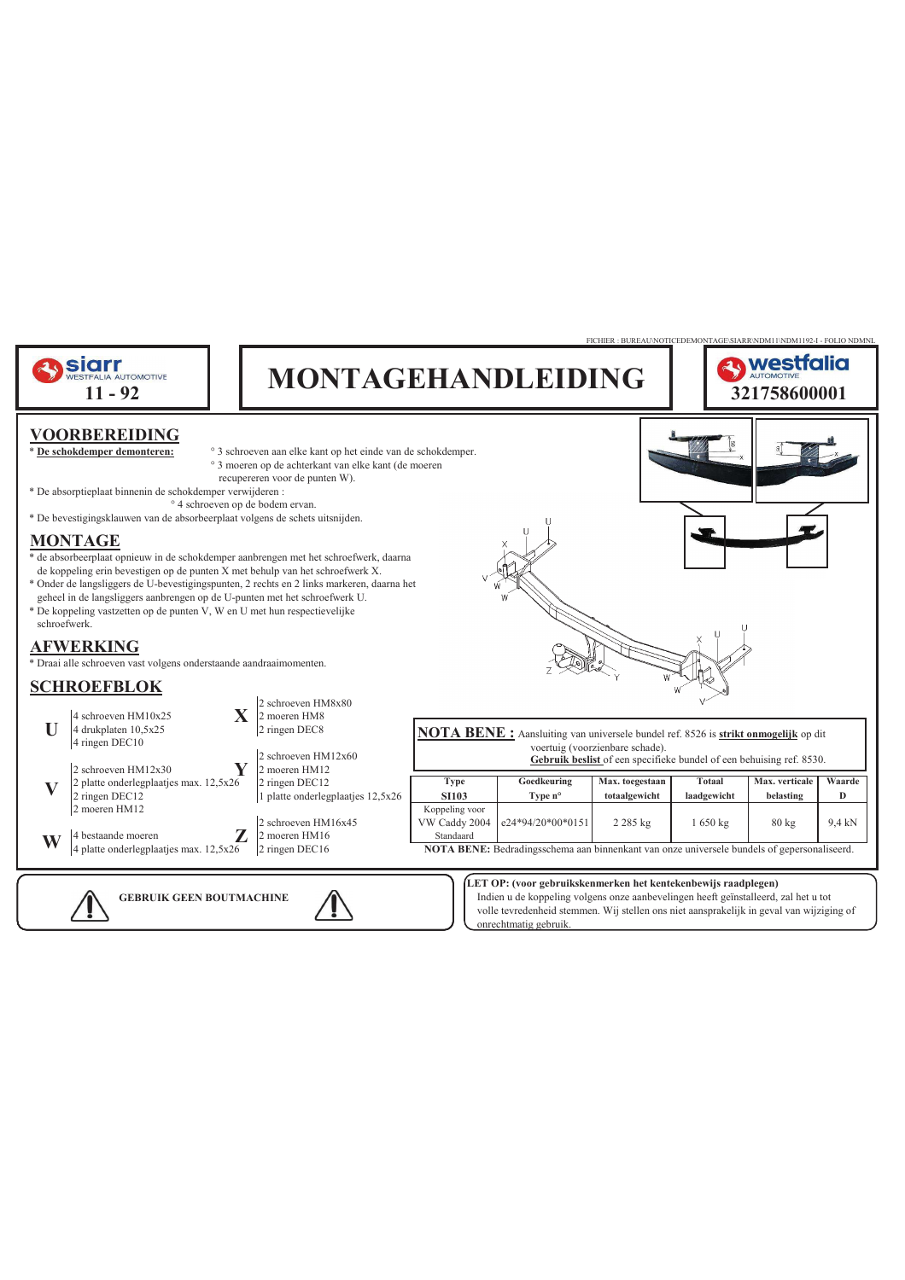

volle tevredenheid stemmen. Wij stellen ons niet aansprakelijk in geval van wijziging of onrechtmatig gebruik.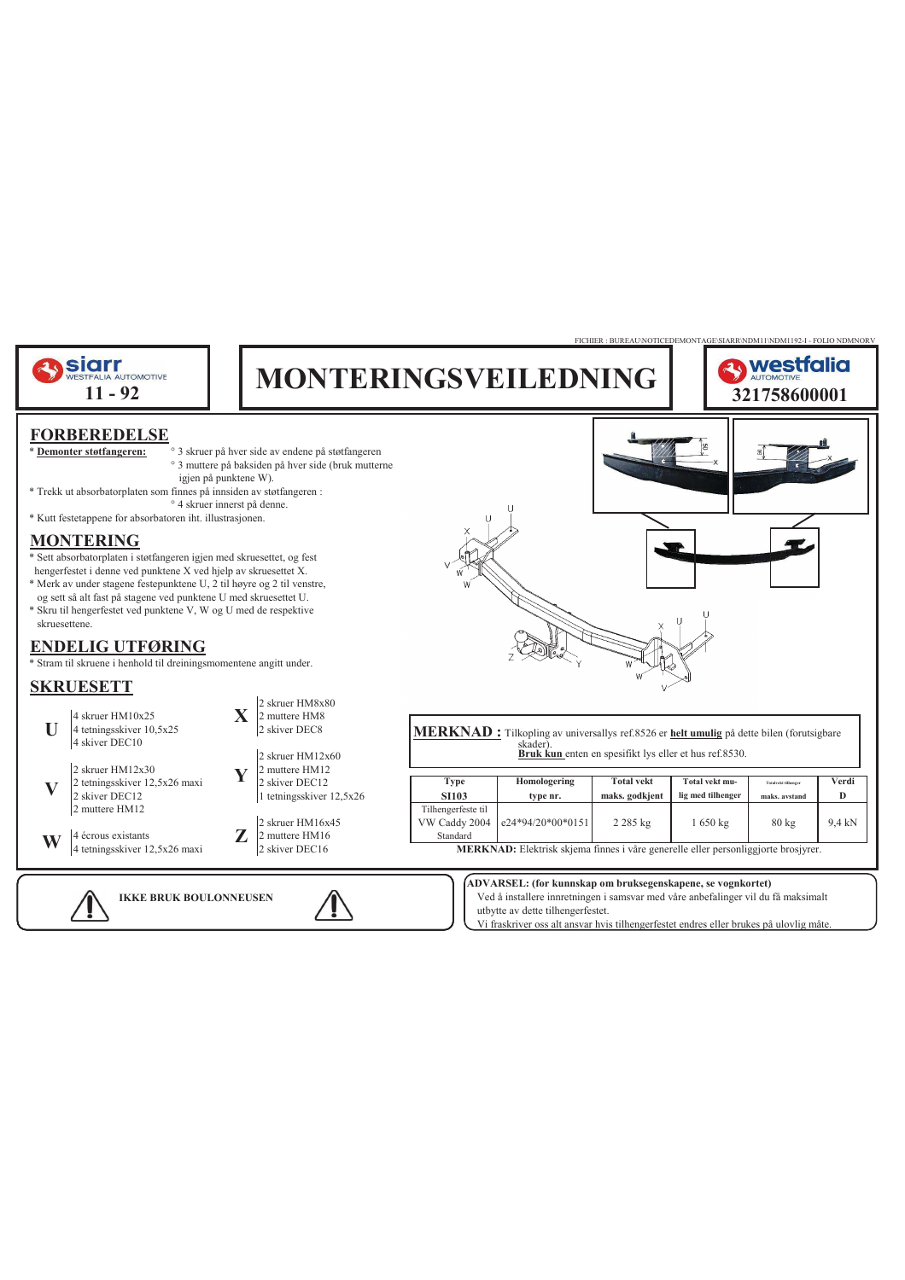

**IKKE BRUK BOULONNEUSEN** Ved å installere innretningen i samsvar med våre anbefalinger vil du få maksimalt utbytte av dette tilhengerfestet.

Vi fraskriver oss alt ansvar hvis tilhengerfestet endres eller brukes på ulovlig måte.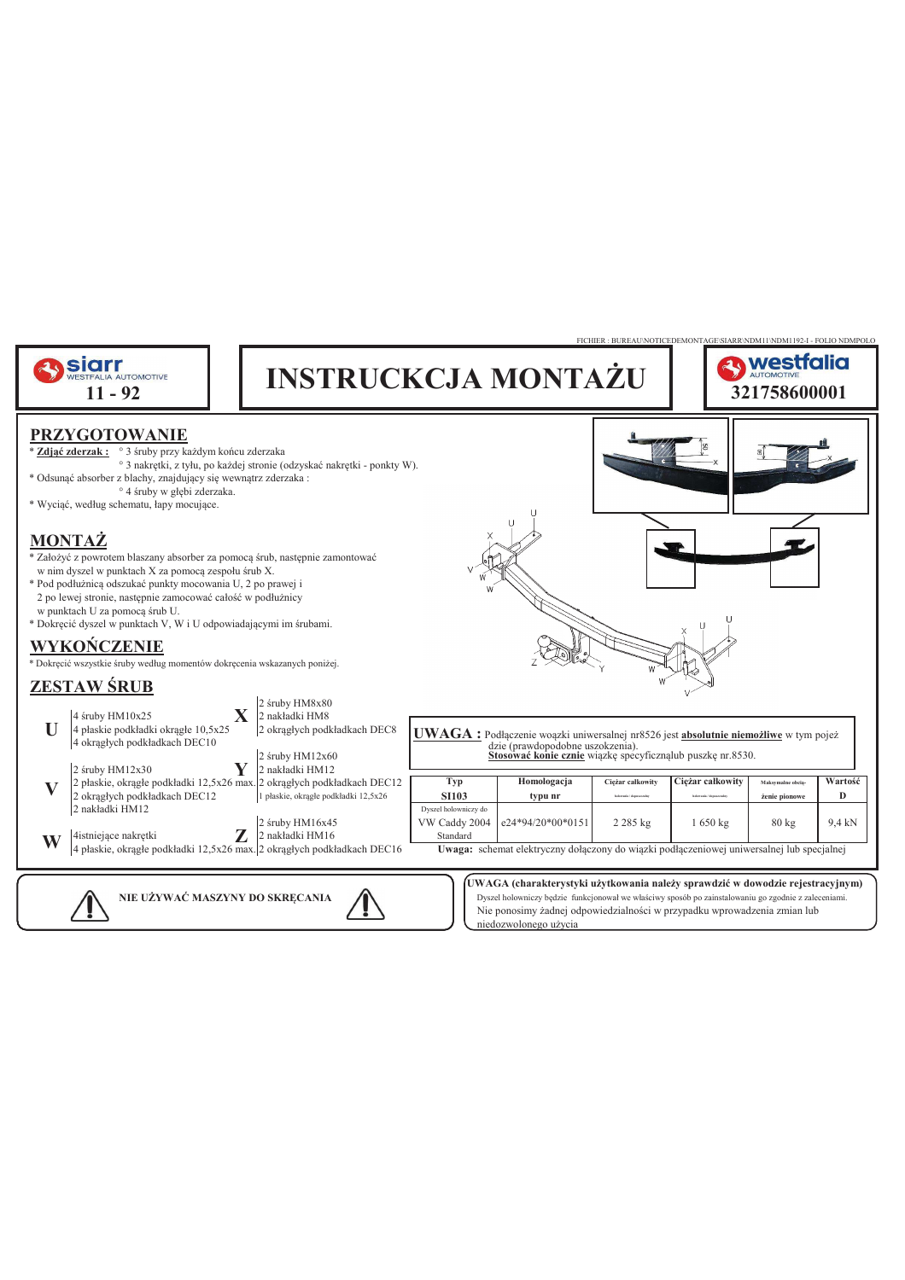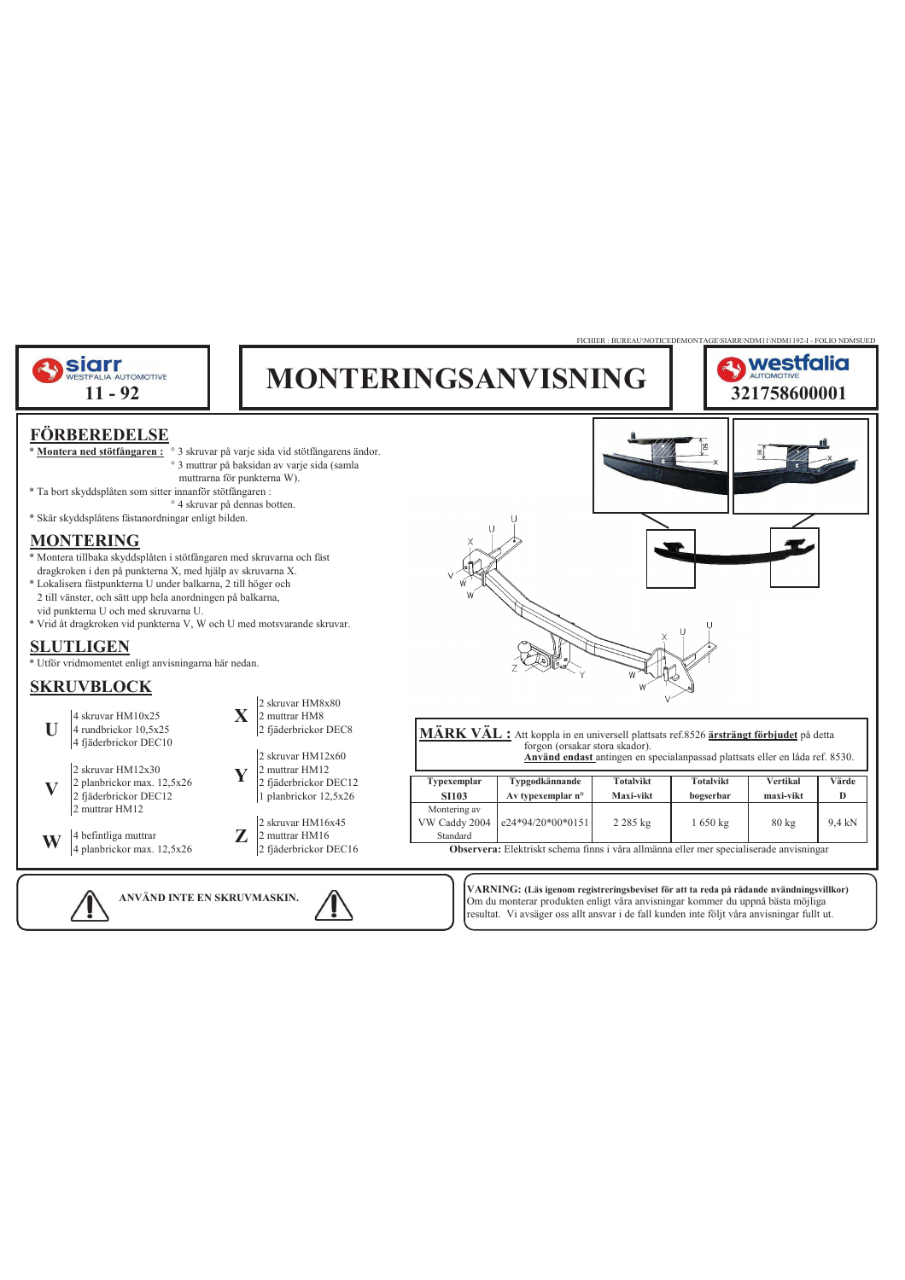